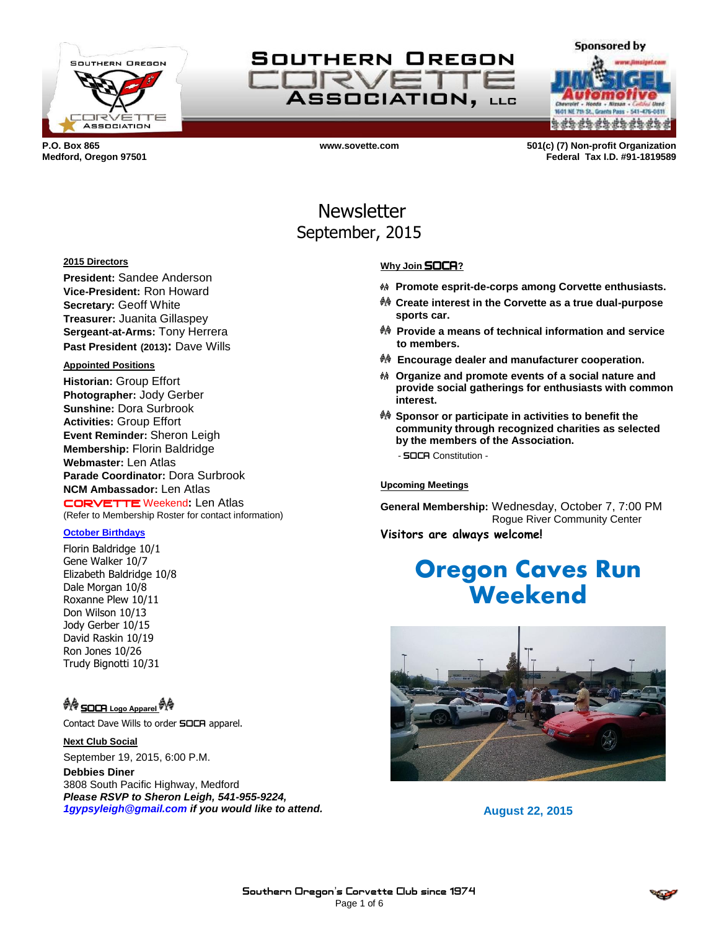



**a da da da da da da da** 

**Sponsored by** 

**P.O. Box 865 www.sovette.com 501(c) (7) Non-profit Organization Medford, Oregon 97501 Federal Tax I.D. #91-1819589**

## Newsletter September, 2015

#### **2015 Directors**

**President:** Sandee Anderson **Vice-President:** Ron Howard **Secretary:** Geoff White **Treasurer:** Juanita Gillaspey **Sergeant-at-Arms:** Tony Herrera **Past President (2013):** Dave Wills

#### **Appointed Positions**

**Historian:** Group Effort **Photographer:** Jody Gerber **Sunshine:** Dora Surbrook **Activities:** Group Effort **Event Reminder:** Sheron Leigh **Membership:** Florin Baldridge **Webmaster:** Len Atlas **Parade Coordinator:** Dora Surbrook **NCM Ambassador:** Len Atlas CORVETTE Weekend**:** Len Atlas (Refer to Membership Roster for contact information)

#### **October Birthdays**

Florin Baldridge 10/1 Gene Walker 10/7 Elizabeth Baldridge 10/8 Dale Morgan 10/8 Roxanne Plew 10/11 Don Wilson 10/13 Jody Gerber 10/15 David Raskin 10/19 Ron Jones 10/26 Trudy Bignotti 10/31

<sup>ଭ</sup>୍ୟୁକ SOCA Logo Apparel <sup>ଭ୍ୟୁକୁ</sup>

Contact Dave Wills to order **SOCA** apparel.

**Next Club Social** September 19, 2015, 6:00 P.M.

**Debbies Diner** 3808 South Pacific Highway, Medford *Please RSVP to Sheron Leigh, 541-955-9224, 1gypsyleigh@gmail.com if you would like to attend.*

#### **Why Join** SOCA**?**

- **Promote esprit-de-corps among Corvette enthusiasts.**
- **Create interest in the Corvette as a true dual-purpose sports car.**
- **Provide a means of technical information and service to members.**
- **Encourage dealer and manufacturer cooperation.**
- **Organize and promote events of a social nature and provide social gatherings for enthusiasts with common interest.**
- **Sponsor or participate in activities to benefit the community through recognized charities as selected by the members of the Association.** - SOCA Constitution -

**Upcoming Meetings**

**General Membership:** Wednesday, October 7, 7:00 PM Rogue River Community Center

**Visitors are always welcome!**

# **Oregon Caves Run Weekend**



**August 22, 2015**

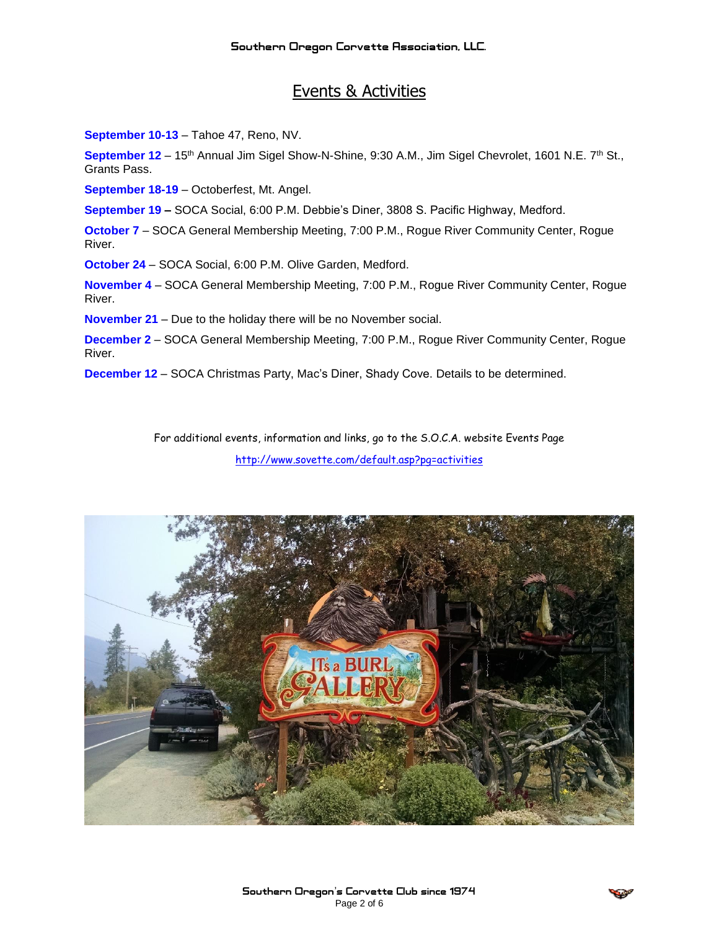## Events & Activities

**September 10-13** – Tahoe 47, Reno, NV.

**September 12** – 15th Annual Jim Sigel Show-N-Shine, 9:30 A.M., Jim Sigel Chevrolet, 1601 N.E. 7th St., Grants Pass.

**September 18-19** – Octoberfest, Mt. Angel.

**September 19 –** SOCA Social, 6:00 P.M. Debbie's Diner, 3808 S. Pacific Highway, Medford.

**October 7** – SOCA General Membership Meeting, 7:00 P.M., Rogue River Community Center, Rogue River.

**October 24** – SOCA Social, 6:00 P.M. Olive Garden, Medford.

**November 4** – SOCA General Membership Meeting, 7:00 P.M., Rogue River Community Center, Rogue River.

**November 21** – Due to the holiday there will be no November social.

**December 2** – SOCA General Membership Meeting, 7:00 P.M., Rogue River Community Center, Rogue River.

**December 12** – SOCA Christmas Party, Mac's Diner, Shady Cove. Details to be determined.

For additional events, information and links, go to the S.O.C.A. website Events Page <http://www.sovette.com/default.asp?pg=activities>



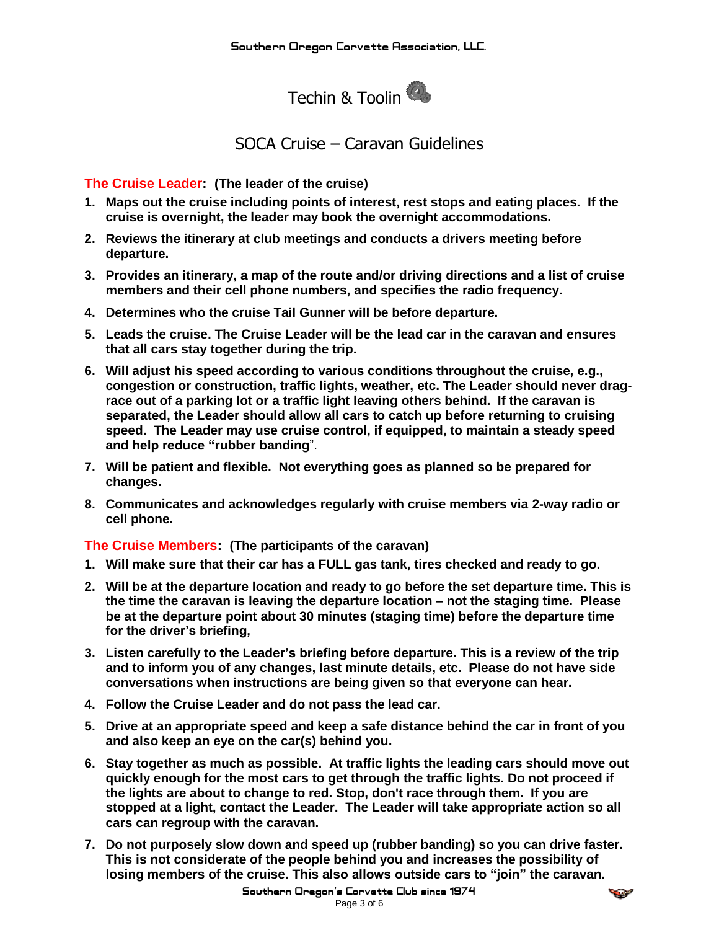

## SOCA Cruise – Caravan Guidelines

**The Cruise Leader: (The leader of the cruise)**

- **1. Maps out the cruise including points of interest, rest stops and eating places. If the cruise is overnight, the leader may book the overnight accommodations.**
- **2. Reviews the itinerary at club meetings and conducts a drivers meeting before departure.**
- **3. Provides an itinerary, a map of the route and/or driving directions and a list of cruise members and their cell phone numbers, and specifies the radio frequency.**
- **4. Determines who the cruise Tail Gunner will be before departure.**
- **5. Leads the cruise. The Cruise Leader will be the lead car in the [caravan](http://www.bayvalleycorvettes.com/Cruise_Guideline.htm#Cruise Caravan:) and ensures that all cars stay together during the trip.**
- **6. Will adjust his speed according to various conditions throughout the cruise, e.g., congestion or construction, traffic lights, weather, etc. The Leader should never dragrace out of a parking lot or a [traffic light](http://www.bayvalleycorvettes.com/Cruise_Guideline.htm#TRAFFIC LIGHTS) leaving others behind. If the caravan is separated, the Leader should allow all cars to catch up before returning to cruising speed. The Leader may use cruise control, if equipped, to maintain a steady speed and help reduce ["rubber banding](http://www.bayvalleycorvettes.com/Cruise_Guideline.htm#RUBBER BANDING)**".
- **7. Will be patient and flexible. Not everything goes as planned so be prepared for changes.**
- **8. [Communicates a](http://www.bayvalleycorvettes.com/Cruise_Guideline.htm#COMMUNICATION)nd acknowledges regularly with cruise members via [2-way radio](http://www.bayvalleycorvettes.com/Cruise_Guideline.htm#2-way radio) or cell phone.**

**The Cruise Members: (The participants of the [caravan\)](http://www.bayvalleycorvettes.com/Cruise_Guideline.htm#Cruise Caravan:)**

- **1. Will make sure that their car has a FULL gas tank, tires checked and ready to go.**
- **2. Will be at the departure location and ready to go before the set departure time. This is the time the caravan is leaving the departure location – not the staging time. Please be at the departure point about 30 minutes (staging time) before the departure time for the driver's briefing,**
- **3. Listen carefully to the Leader's briefing before departure. This is a review of the trip and to inform you of any changes, last minute details, etc. Please do not have side conversations when instructions are being given so that everyone can hear.**
- **4. Follow the Cruise Leader and do not pass the lead car.**
- **5. Drive at an [appropriate speed](http://www.bayvalleycorvettes.com/Cruise_Guideline.htm#APPROPRIATE SPEED) and keep a safe distance behind the car in front of you and also keep an eye on the car(s) behind you.**
- **6. Stay together as much as possible. At [traffic lights](http://www.bayvalleycorvettes.com/Cruise_Guideline.htm#TRAFFIC LIGHTS) the leading cars should move out quickly enough for the most cars to get through the traffic lights. Do not proceed if the lights are about to change to red. Stop, don't race through them. If you are stopped at a light, contact the Leader. The Leader will take appropriate action so all cars can regroup with the caravan.**
- **7. Do not purposely slow down and speed up [\(rubber banding\)](http://www.bayvalleycorvettes.com/Cruise_Guideline.htm#RUBBER BANDING) so you can drive faster. This is not considerate of the people behind you and increases the possibility of losing members of the cruise. This also allows outside cars to "join" the caravan.**

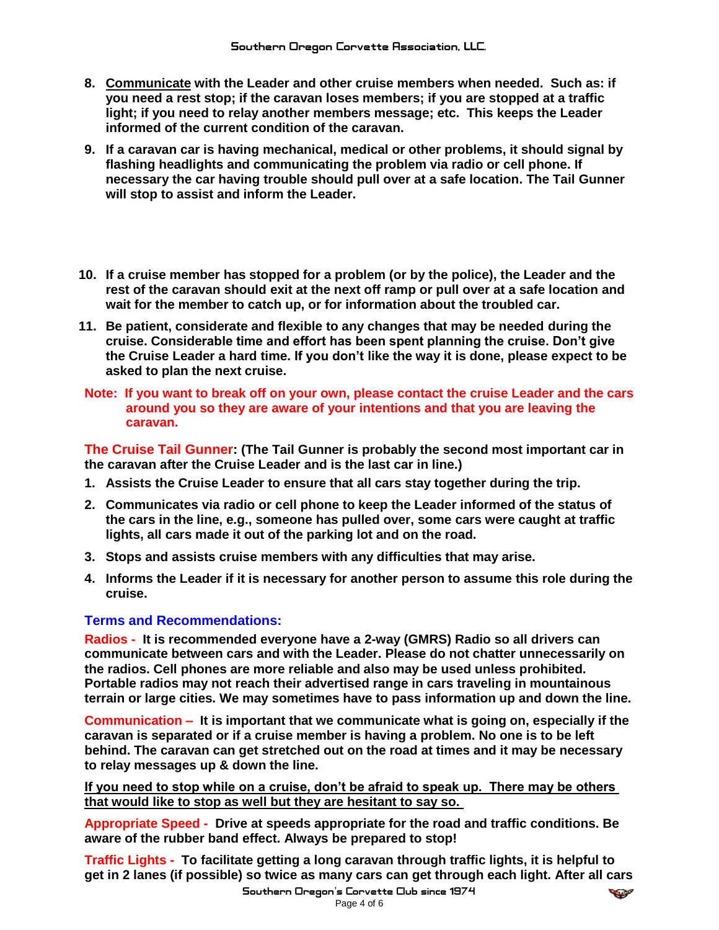- **8. [Communicate](http://www.bayvalleycorvettes.com/Cruise_Guideline.htm#COMMUNICATION) with the Leader and other cruise members when needed. Such as: if you need a rest stop; if the caravan loses members; if you are stopped at a traffic light; if you need to relay another members message; etc. This keeps the Leader informed of the current condition of the caravan.**
- **9. If a caravan car is having mechanical, medical or other problems, it should signal by flashing headlights and communicating the problem via radio or cell phone. If necessary the car having trouble should pull over at a safe location. The Tail Gunner will stop to assist and inform the Leader.**
- **10. If a cruise member has stopped for a problem (or by the police), the Leader and the rest of the caravan should exit at the next off ramp or pull over at a safe location and wait for the member to catch up, or for information about the troubled car.**
- **11. Be patient, considerate and flexible to any changes that may be needed during the cruise. Considerable time and effort has been spent planning the cruise. Don't give the Cruise Leader a hard time. If you don't like the way it is done, please expect to be asked to plan the next cruise.**
- **Note: If you want to break off on your own, please contact the cruise Leader and the cars around you so they are aware of your intentions and that you are leaving the caravan.**

**The Cruise Tail Gunner: (The Tail Gunner is probably the second most important car in the caravan after the Cruise Leader and is the last car in line.)**

- **1. Assists the Cruise Leader to ensure that all cars stay together during the trip.**
- **2. [Communicates](http://www.bayvalleycorvettes.com/Cruise_Guideline.htm#COMMUNICATION) via radio or cell phone to keep the Leader informed of the status of the cars in the line, e.g., someone has pulled over, some cars were caught at traffic lights, all cars made it out of the parking lot and on the road.**
- **3. Stops and assists cruise members with any difficulties that may arise.**
- **4. Informs the Leader if it is necessary for another person to assume this role during the cruise.**

#### **Terms and Recommendations:**

**Radios - It is recommended everyone have a 2-way (GMRS) Radio so all drivers can communicate between cars and with the Leader. Please do not chatter unnecessarily on the radios. Cell phones are more reliable and also may be used unless prohibited. Portable radios may not reach their advertised range in cars traveling in mountainous terrain or large cities. We may sometimes have to pass information up and down the line.** 

**Communication – It is important that we communicate what is going on, especially if the caravan is separated or if a cruise member is having a problem. No one is to be left behind. The caravan can get stretched out on the road at times and it may be necessary to relay messages up & down the line.**

**If you need to stop while on a cruise, don't be afraid to speak up. There may be others that would like to stop as well but they are hesitant to say so.** 

**Appropriate Speed - Drive at speeds appropriate for the road and traffic conditions. Be aware of the rubber band effect. Always be prepared to stop!**

**Traffic Lights - To facilitate getting a long caravan through traffic lights, it is helpful to get in 2 lanes (if possible) so twice as many cars can get through each light. After all cars**